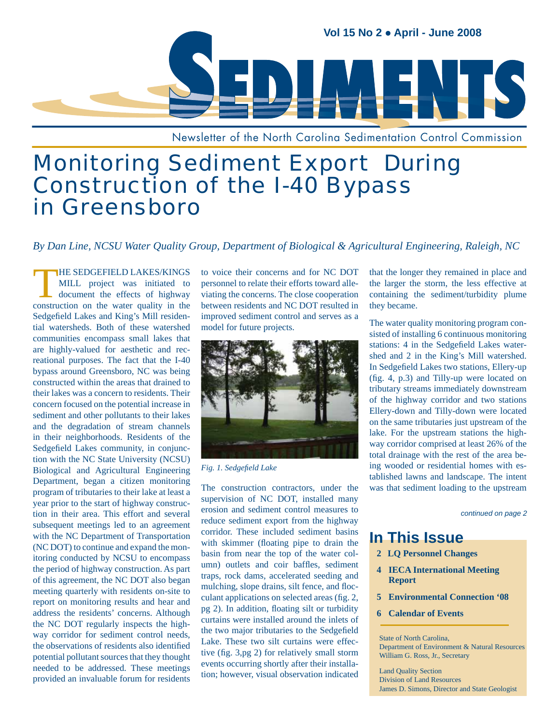

Newsletter of the North Carolina Sedimentation Control Commission

# Monitoring Sediment Export During Construction of the I-40 Bypass in Greensboro

*By Dan Line, NCSU Water Quality Group, Department of Biological & Agricultural Engineering, Raleigh, NC*

THE SEDGEFIELD LAKES/KINGS<br>
MILL project was initiated to<br>
document the effects of highway MILL project was initiated to construction on the water quality in the Sedgefield Lakes and King's Mill residential watersheds. Both of these watershed communities encompass small lakes that are highly-valued for aesthetic and recreational purposes. The fact that the I-40 bypass around Greensboro, NC was being constructed within the areas that drained to their lakes was a concern to residents. Their concern focused on the potential increase in sediment and other pollutants to their lakes and the degradation of stream channels in their neighborhoods. Residents of the Sedgefield Lakes community, in conjunction with the NC State University (NCSU) Biological and Agricultural Engineering Department, began a citizen monitoring program of tributaries to their lake at least a year prior to the start of highway construction in their area. This effort and several subsequent meetings led to an agreement with the NC Department of Transportation (NC DOT) to continue and expand the monitoring conducted by NCSU to encompass the period of highway construction. As part of this agreement, the NC DOT also began meeting quarterly with residents on-site to report on monitoring results and hear and address the residents' concerns. Although the NC DOT regularly inspects the highway corridor for sediment control needs, the observations of residents also identified potential pollutant sources that they thought needed to be addressed. These meetings provided an invaluable forum for residents

to voice their concerns and for NC DOT personnel to relate their efforts toward alleviating the concerns. The close cooperation between residents and NC DOT resulted in improved sediment control and serves as a model for future projects.



 $Fig. 1. Sedgefield Lake$ 

The construction contractors, under the supervision of NC DOT, installed many erosion and sediment control measures to reduce sediment export from the highway corridor. These included sediment basins with skimmer (floating pipe to drain the basin from near the top of the water column) outlets and coir baffles, sediment traps, rock dams, accelerated seeding and mulching, slope drains, silt fence, and flocculant applications on selected areas (fig. 2,  $pg$  2). In addition, floating silt or turbidity curtains were installed around the inlets of the two major tributaries to the Sedgefield Lake. These two silt curtains were effective (fig.  $3$ , pg 2) for relatively small storm events occurring shortly after their installation; however, visual observation indicated that the longer they remained in place and the larger the storm, the less effective at containing the sediment/turbidity plume they became.

The water quality monitoring program consisted of installing 6 continuous monitoring stations: 4 in the Sedgefield Lakes watershed and 2 in the King's Mill watershed. In Sedgefield Lakes two stations, Ellery-up  $(fig. 4, p.3)$  and Tilly-up were located on tributary streams immediately downstream of the highway corridor and two stations Ellery-down and Tilly-down were located on the same tributaries just upstream of the lake. For the upstream stations the highway corridor comprised at least 26% of the total drainage with the rest of the area being wooded or residential homes with established lawns and landscape. The intent was that sediment loading to the upstream

*continued on page 2*

# **In This Issue**

- **2 LQ Personnel Changes**
- **4 IECA International Meeting Report**
- **5 Environmental Connection '08**
- **6 Calendar of Events**

State of North Carolina, Department of Environment & Natural Resources William G. Ross, Jr., Secretary

Land Quality Section Division of Land Resources James D. Simons, Director and State Geologist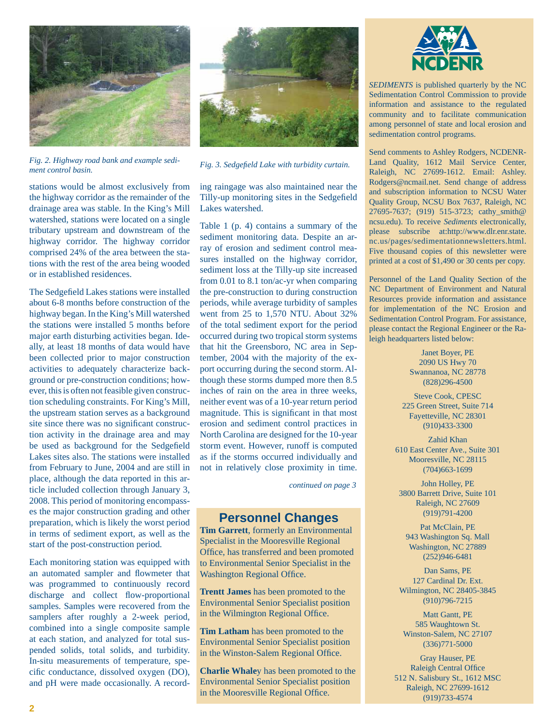

*Fig. 2. Highway road bank and example sedi-Fig. 2. Highway road bank and example seal-*<br>*Fig. 3. Sedgefield Lake with turbidity curtain.*<br>*Fig. 3. Sedgefield Lake with turbidity curtain.* 

stations would be almost exclusively from the highway corridor as the remainder of the drainage area was stable. In the King's Mill watershed, stations were located on a single tributary upstream and downstream of the highway corridor. The highway corridor comprised 24% of the area between the stations with the rest of the area being wooded or in established residences.

The Sedgefield Lakes stations were installed about 6-8 months before construction of the highway began. In the King's Mill watershed the stations were installed 5 months before major earth disturbing activities began. Ideally, at least 18 months of data would have been collected prior to major construction activities to adequately characterize background or pre-construction conditions; however, this is often not feasible given construction scheduling constraints. For King's Mill, the upstream station serves as a background site since there was no significant construction activity in the drainage area and may be used as background for the Sedgefield Lakes sites also. The stations were installed from February to June, 2004 and are still in place, although the data reported in this article included collection through January 3, 2008. This period of monitoring encompasses the major construction grading and other preparation, which is likely the worst period in terms of sediment export, as well as the start of the post-construction period.

Each monitoring station was equipped with an automated sampler and flowmeter that was programmed to continuously record discharge and collect flow-proportional samples. Samples were recovered from the samplers after roughly a 2-week period, combined into a single composite sample at each station, and analyzed for total suspended solids, total solids, and turbidity. In-situ measurements of temperature, specific conductance, dissolved oxygen (DO), and pH were made occasionally. A record-



ing raingage was also maintained near the Tilly-up monitoring sites in the Sedgefield Lakes watershed.

Table 1 (p. 4) contains a summary of the sediment monitoring data. Despite an array of erosion and sediment control measures installed on the highway corridor, sediment loss at the Tilly-up site increased from 0.01 to 8.1 ton/ac-yr when comparing the pre-construction to during construction periods, while average turbidity of samples went from 25 to 1,570 NTU. About 32% of the total sediment export for the period occurred during two tropical storm systems that hit the Greensboro, NC area in September, 2004 with the majority of the export occurring during the second storm. Although these storms dumped more then 8.5 inches of rain on the area in three weeks, neither event was of a 10-year return period magnitude. This is significant in that most erosion and sediment control practices in North Carolina are designed for the 10-year storm event. However, runoff is computed as if the storms occurred individually and not in relatively close proximity in time.

*continued on page 3*

### **Personnel Changes**

**Tim Garrett**, formerly an Environmental Specialist in the Mooresville Regional Office, has transferred and been promoted to Environmental Senior Specialist in the Washington Regional Office.

**Trentt James** has been promoted to the Environmental Senior Specialist position in the Wilmington Regional Office.

**Tim Latham** has been promoted to the Environmental Senior Specialist position in the Winston-Salem Regional Office.

**Charlie Whale**y has been promoted to the Environmental Senior Specialist position in the Mooresville Regional Office.



*SEDIMENTS* is published quarterly by the NC Sedimentation Control Commission to provide information and assistance to the regulated community and to facilitate communication among personnel of state and local erosion and sedimentation control programs.

Send comments to Ashley Rodgers, NCDENR-Land Quality, 1612 Mail Service Center, Raleigh, NC 27699-1612. Email: Ashley. Rodgers@ncmail.net. Send change of address and subscription information to NCSU Water Quality Group, NCSU Box 7637, Raleigh, NC 27695-7637; (919) 515-3723; cathy\_smith@ ncsu.edu). To receive *Sediments* electronically, please subscribe at:http://www.dlr.enr.state. nc.us/pages/sedimentationnewsletters.html. Five thousand copies of this newsletter were printed at a cost of \$1,490 or 30 cents per copy.

Personnel of the Land Quality Section of the NC Department of Environment and Natural Resources provide information and assistance for implementation of the NC Erosion and Sedimentation Control Program. For assistance, please contact the Regional Engineer or the Raleigh headquarters listed below:

> Janet Boyer, PE 2090 US Hwy 70 Swannanoa, NC 28778 (828)296-4500

Steve Cook, CPESC 225 Green Street, Suite 714 Fayetteville, NC 28301 (910)433-3300

Zahid Khan 610 East Center Ave., Suite 301 Mooresville, NC 28115 (704)663-1699

John Holley, PE 3800 Barrett Drive, Suite 101 Raleigh, NC 27609 (919)791-4200

Pat McClain, PE 943 Washington Sq. Mall Washington, NC 27889 (252)946-6481

Dan Sams, PE 127 Cardinal Dr. Ext. Wilmington, NC 28405-3845 (910)796-7215

Matt Gantt, PE 585 Waughtown St. Winston-Salem, NC 27107 (336)771-5000

Gray Hauser, PE Raleigh Central Office 512 N. Salisbury St., 1612 MSC Raleigh, NC 27699-1612 (919)733-4574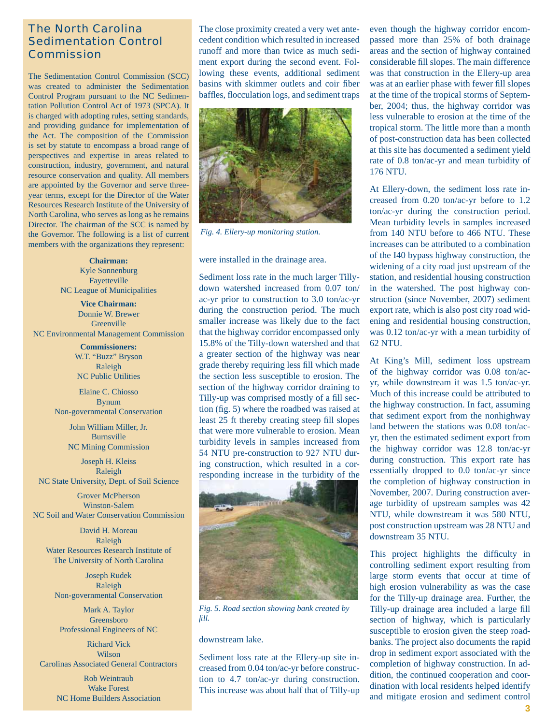### The North Carolina Sedimentation Control Commission

The Sedimentation Control Commission (SCC) was created to administer the Sedimentation Control Program pursuant to the NC Sedimentation Pollution Control Act of 1973 (SPCA). It is charged with adopting rules, setting standards, and providing guidance for implementation of the Act. The composition of the Commission is set by statute to encompass a broad range of perspectives and expertise in areas related to construction, industry, government, and natural resource conservation and quality. All members are appointed by the Governor and serve threeyear terms, except for the Director of the Water Resources Research Institute of the University of North Carolina, who serves as long as he remains Director. The chairman of the SCC is named by the Governor. The following is a list of current members with the organizations they represent:

> **Chairman:** Kyle Sonnenburg Fayetteville NC League of Municipalities

**Vice Chairman:** Donnie W. Brewer **Greenville** NC Environmental Management Commission

> **Commissioners:** W.T. "Buzz" Bryson Raleigh NC Public Utilities

Elaine C. Chiosso Bynum Non-governmental Conservation

> John William Miller, Jr. Burnsville NC Mining Commission

Joseph H. Kleiss Raleigh NC State University, Dept. of Soil Science

Grover McPherson Winston-Salem NC Soil and Water Conservation Commission

David H. Moreau Raleigh Water Resources Research Institute of The University of North Carolina

Joseph Rudek Raleigh Non-governmental Conservation

Mark A. Taylor Greensboro Professional Engineers of NC

Richard Vick Wilson Carolinas Associated General Contractors

> Rob Weintraub Wake Forest NC Home Builders Association

The close proximity created a very wet antecedent condition which resulted in increased runoff and more than twice as much sediment export during the second event. Following these events, additional sediment basins with skimmer outlets and coir fiber baffles, flocculation logs, and sediment traps



*Fig. 4. Ellery-up monitoring station.*

were installed in the drainage area.

Sediment loss rate in the much larger Tillydown watershed increased from 0.07 ton/ ac-yr prior to construction to 3.0 ton/ac-yr during the construction period. The much smaller increase was likely due to the fact that the highway corridor encompassed only 15.8% of the Tilly-down watershed and that a greater section of the highway was near grade thereby requiring less fill which made the section less susceptible to erosion. The section of the highway corridor draining to Tilly-up was comprised mostly of a fill section (fig.  $5$ ) where the roadbed was raised at least 25 ft thereby creating steep fill slopes that were more vulnerable to erosion. Mean turbidity levels in samples increased from 54 NTU pre-construction to 927 NTU during construction, which resulted in a corresponding increase in the turbidity of the



*Fig. 5. Road section showing bank created by fi ll.*

#### downstream lake.

Sediment loss rate at the Ellery-up site increased from 0.04 ton/ac-yr before construction to 4.7 ton/ac-yr during construction. This increase was about half that of Tilly-up

even though the highway corridor encompassed more than 25% of both drainage areas and the section of highway contained considerable fill slopes. The main difference was that construction in the Ellery-up area was at an earlier phase with fewer fill slopes at the time of the tropical storms of September, 2004; thus, the highway corridor was less vulnerable to erosion at the time of the tropical storm. The little more than a month of post-construction data has been collected at this site has documented a sediment yield rate of 0.8 ton/ac-yr and mean turbidity of 176 NTU.

At Ellery-down, the sediment loss rate increased from 0.20 ton/ac-yr before to 1.2 ton/ac-yr during the construction period. Mean turbidity levels in samples increased from 140 NTU before to 466 NTU. These increases can be attributed to a combination of the I40 bypass highway construction, the widening of a city road just upstream of the station, and residential housing construction in the watershed. The post highway construction (since November, 2007) sediment export rate, which is also post city road widening and residential housing construction, was 0.12 ton/ac-yr with a mean turbidity of 62 NTU.

At King's Mill, sediment loss upstream of the highway corridor was 0.08 ton/acyr, while downstream it was 1.5 ton/ac-yr. Much of this increase could be attributed to the highway construction. In fact, assuming that sediment export from the nonhighway land between the stations was 0.08 ton/acyr, then the estimated sediment export from the highway corridor was 12.8 ton/ac-yr during construction. This export rate has essentially dropped to 0.0 ton/ac-yr since the completion of highway construction in November, 2007. During construction average turbidity of upstream samples was 42 NTU, while downstream it was 580 NTU, post construction upstream was 28 NTU and downstream 35 NTU.

This project highlights the difficulty in controlling sediment export resulting from large storm events that occur at time of high erosion vulnerability as was the case for the Tilly-up drainage area. Further, the Tilly-up drainage area included a large fill section of highway, which is particularly susceptible to erosion given the steep roadbanks. The project also documents the rapid drop in sediment export associated with the completion of highway construction. In addition, the continued cooperation and coordination with local residents helped identify and mitigate erosion and sediment control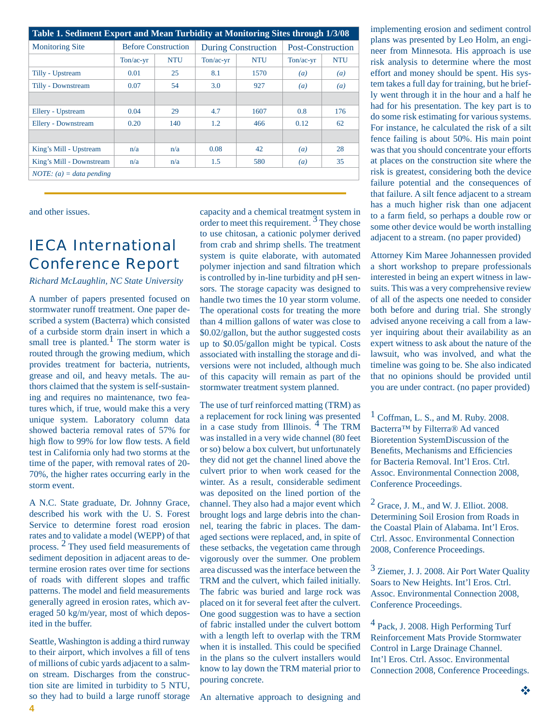| Table 1. Sediment Export and Mean Turbidity at Monitoring Sites through 1/3/08 |                            |            |                            |            |                          |                  |  |  |
|--------------------------------------------------------------------------------|----------------------------|------------|----------------------------|------------|--------------------------|------------------|--|--|
| <b>Monitoring Site</b>                                                         | <b>Before Construction</b> |            | <b>During Construction</b> |            | <b>Post-Construction</b> |                  |  |  |
|                                                                                | $Ton/ac-yr$                | <b>NTU</b> | $Ton/ac-vr$                | <b>NTU</b> | $Ton/ac-vr$              | <b>NTU</b>       |  |  |
| Tilly - Upstream                                                               | 0.01                       | 25         | 8.1                        | 1570       | (a)                      | $\left(a\right)$ |  |  |
| Tilly - Downstream                                                             | 0.07                       | 54         | 3.0                        | 927        | $\left(a\right)$         | $\left(a\right)$ |  |  |
|                                                                                |                            |            |                            |            |                          |                  |  |  |
| Ellery - Upstream                                                              | 0.04                       | 29         | 4.7                        | 1607       | 0.8                      | 176              |  |  |
| Ellery - Downstream                                                            | 0.20                       | 140        | 1.2                        | 466        | 0.12                     | 62               |  |  |
|                                                                                |                            |            |                            |            |                          |                  |  |  |
| King's Mill - Upstream                                                         | n/a                        | n/a        | 0.08                       | 42         | $\left(a\right)$         | 28               |  |  |
| King's Mill - Downstream                                                       | n/a                        | n/a        | 1.5                        | 580        | $\left(a\right)$         | 35               |  |  |
| $NOTE: (a) = data$ pending                                                     |                            |            |                            |            |                          |                  |  |  |

and other issues.

# IECA International Conference Report

*Richard McLaughlin, NC State University*

A number of papers presented focused on stormwater runoff treatment. One paper described a system (Bacterra) which consisted of a curbside storm drain insert in which a small tree is planted.<sup>1</sup> The storm water is routed through the growing medium, which provides treatment for bacteria, nutrients, grease and oil, and heavy metals. The authors claimed that the system is self-sustaining and requires no maintenance, two features which, if true, would make this a very unique system. Laboratory column data showed bacteria removal rates of 57% for high flow to 99% for low flow tests. A field test in California only had two storms at the time of the paper, with removal rates of 20- 70%, the higher rates occurring early in the storm event.

A N.C. State graduate, Dr. Johnny Grace, described his work with the U. S. Forest Service to determine forest road erosion rates and to validate a model (WEPP) of that process.  $\frac{2}{3}$  They used field measurements of sediment deposition in adjacent areas to determine erosion rates over time for sections of roads with different slopes and traffic patterns. The model and field measurements generally agreed in erosion rates, which averaged 50 kg/m/year, most of which deposited in the buffer.

Seattle, Washington is adding a third runway to their airport, which involves a fill of tens of millions of cubic yards adjacent to a salmon stream. Discharges from the construction site are limited in turbidity to 5 NTU, so they had to build a large runoff storage capacity and a chemical treatment system in order to meet this requirement.<sup>3</sup> They chose to use chitosan, a cationic polymer derived from crab and shrimp shells. The treatment system is quite elaborate, with automated polymer injection and sand filtration which is controlled by in-line turbidity and pH sensors. The storage capacity was designed to handle two times the 10 year storm volume. The operational costs for treating the more than 4 million gallons of water was close to \$0.02/gallon, but the author suggested costs up to \$0.05/gallon might be typical. Costs associated with installing the storage and diversions were not included, although much of this capacity will remain as part of the stormwater treatment system planned.

The use of turf reinforced matting (TRM) as a replacement for rock lining was presented in a case study from Illinois. 4 The TRM was installed in a very wide channel (80 feet or so) below a box culvert, but unfortunately they did not get the channel lined above the culvert prior to when work ceased for the winter. As a result, considerable sediment was deposited on the lined portion of the channel. They also had a major event which brought logs and large debris into the channel, tearing the fabric in places. The damaged sections were replaced, and, in spite of these setbacks, the vegetation came through vigorously over the summer. One problem area discussed was the interface between the TRM and the culvert, which failed initially. The fabric was buried and large rock was placed on it for several feet after the culvert. One good suggestion was to have a section of fabric installed under the culvert bottom with a length left to overlap with the TRM when it is installed. This could be specified in the plans so the culvert installers would know to lay down the TRM material prior to pouring concrete.

implementing erosion and sediment control plans was presented by Leo Holm, an engineer from Minnesota. His approach is use risk analysis to determine where the most effort and money should be spent. His system takes a full day for training, but he briefly went through it in the hour and a half he had for his presentation. The key part is to do some risk estimating for various systems. For instance, he calculated the risk of a silt fence failing is about 50%. His main point was that you should concentrate your efforts at places on the construction site where the risk is greatest, considering both the device failure potential and the consequences of that failure. A silt fence adjacent to a stream has a much higher risk than one adjacent to a farm field, so perhaps a double row or some other device would be worth installing adjacent to a stream. (no paper provided)

Attorney Kim Maree Johannessen provided a short workshop to prepare professionals interested in being an expert witness in lawsuits. This was a very comprehensive review of all of the aspects one needed to consider both before and during trial. She strongly advised anyone receiving a call from a lawyer inquiring about their availability as an expert witness to ask about the nature of the lawsuit, who was involved, and what the timeline was going to be. She also indicated that no opinions should be provided until you are under contract. (no paper provided)

 $\frac{1}{1}$  Coffman, L. S., and M. Ruby. 2008. Bacterra™ by Filterra® Ad vanced Bioretention SystemDiscussion of the Benefits, Mechanisms and Efficiencies for Bacteria Removal. Int'l Eros. Ctrl. Assoc. Environmental Connection 2008, Conference Proceedings.

 $^{2}$  Grace, J. M., and W. J. Elliot. 2008. Determining Soil Erosion from Roads in the Coastal Plain of Alabama. Int'l Eros. Ctrl. Assoc. Environmental Connection 2008, Conference Proceedings.

<sup>3</sup> Ziemer, J. J. 2008. Air Port Water Quality Soars to New Heights. Int'l Eros. Ctrl. Assoc. Environmental Connection 2008, Conference Proceedings.

4 Pack, J. 2008. High Performing Turf Reinforcement Mats Provide Stormwater Control in Large Drainage Channel. Int'l Eros. Ctrl. Assoc. Environmental Connection 2008, Conference Proceedings.

An alternative approach to designing and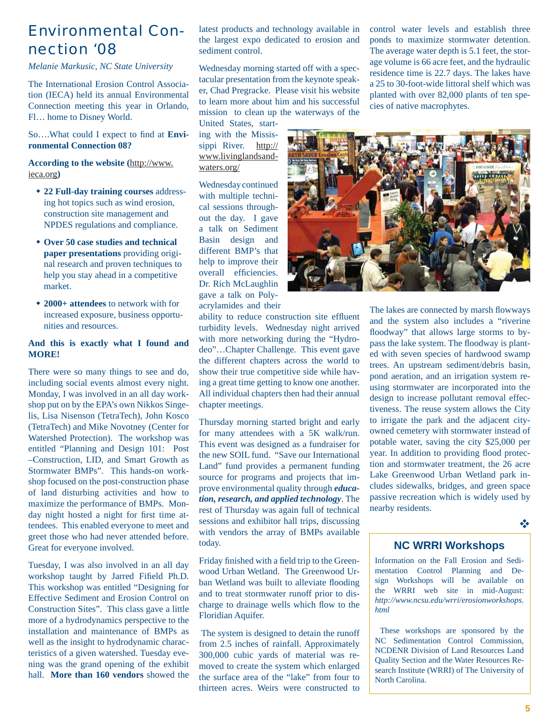## Environmental Connection '08

*Melanie Markusic, NC State University*

The International Erosion Control Association (IECA) held its annual Environmental Connection meeting this year in Orlando, Fl… home to Disney World.

So....What could I expect to find at **Environmental Connection 08?** 

**According to the website (**http://www. ieca.org**)**

- **22 Full-day training courses** addressing hot topics such as wind erosion, construction site management and NPDES regulations and compliance.
- **Over 50 case studies and technical paper presentations** providing original research and proven techniques to help you stay ahead in a competitive market.
- **2000+ attendees** to network with for increased exposure, business opportunities and resources.

#### **And this is exactly what I found and MORE!**

There were so many things to see and do, including social events almost every night. Monday, I was involved in an all day workshop put on by the EPA's own Nikkos Singelis, Lisa Nisenson (TetraTech), John Kosco (TetraTech) and Mike Novotney (Center for Watershed Protection). The workshop was entitled "Planning and Design 101: Post –Construction, LID, and Smart Growth as Stormwater BMPs". This hands-on workshop focused on the post-construction phase of land disturbing activities and how to maximize the performance of BMPs. Monday night hosted a night for first time attendees. This enabled everyone to meet and greet those who had never attended before. Great for everyone involved.

Tuesday, I was also involved in an all day workshop taught by Jarred Fifield Ph.D. This workshop was entitled "Designing for Effective Sediment and Erosion Control on Construction Sites". This class gave a little more of a hydrodynamics perspective to the installation and maintenance of BMPs as well as the insight to hydrodynamic characteristics of a given watershed. Tuesday evening was the grand opening of the exhibit hall. **More than 160 vendors** showed the latest products and technology available in the largest expo dedicated to erosion and sediment control.

Wednesday morning started off with a spectacular presentation from the keynote speaker, Chad Pregracke. Please visit his website to learn more about him and his successful mission to clean up the waterways of the

United States, starting with the Mississippi River. http:// www.livinglandsandwaters.org/

Wednesday continued with multiple technical sessions throughout the day. I gave a talk on Sediment Basin design and different BMP's that help to improve their overall efficiencies. Dr. Rich McLaughlin gave a talk on Polyacrylamides and their

ability to reduce construction site effluent turbidity levels. Wednesday night arrived with more networking during the "Hydrodeo"…Chapter Challenge. This event gave the different chapters across the world to show their true competitive side while having a great time getting to know one another. All individual chapters then had their annual chapter meetings.

Thursday morning started bright and early for many attendees with a 5K walk/run. This event was designed as a fundraiser for the new SOIL fund. "Save our International Land" fund provides a permanent funding source for programs and projects that improve environmental quality through *education, research, and applied technology*. The rest of Thursday was again full of technical sessions and exhibitor hall trips, discussing with vendors the array of BMPs available today.

Friday finished with a field trip to the Greenwood Urban Wetland. The Greenwood Urban Wetland was built to alleviate flooding and to treat stormwater runoff prior to discharge to drainage wells which flow to the Floridian Aquifer.

 The system is designed to detain the runoff from 2.5 inches of rainfall. Approximately 300,000 cubic yards of material was removed to create the system which enlarged the surface area of the "lake" from four to thirteen acres. Weirs were constructed to

control water levels and establish three ponds to maximize stormwater detention. The average water depth is 5.1 feet, the storage volume is 66 acre feet, and the hydraulic residence time is 22.7 days. The lakes have a 25 to 30-foot-wide littoral shelf which was planted with over 82,000 plants of ten species of native macrophytes.



The lakes are connected by marsh flowways and the system also includes a "riverine floodway" that allows large storms to bypass the lake system. The floodway is planted with seven species of hardwood swamp trees. An upstream sediment/debris basin, pond aeration, and an irrigation system reusing stormwater are incorporated into the design to increase pollutant removal effectiveness. The reuse system allows the City to irrigate the park and the adjacent cityowned cemetery with stormwater instead of potable water, saving the city \$25,000 per year. In addition to providing flood protection and stormwater treatment, the 26 acre Lake Greenwood Urban Wetland park includes sidewalks, bridges, and green space passive recreation which is widely used by nearby residents.

#### ÷

### **NC WRRI Workshops**

Information on the Fall Erosion and Sedimentation Control Planning and Design Workshops will be available on the WRRI web site in mid-August: *http://www.ncsu.edu/wrri/erosionworkshops. html*

 These workshops are sponsored by the NC Sedimentation Control Commission, NCDENR Division of Land Resources Land Quality Section and the Water Resources Research Institute (WRRI) of The University of North Carolina.